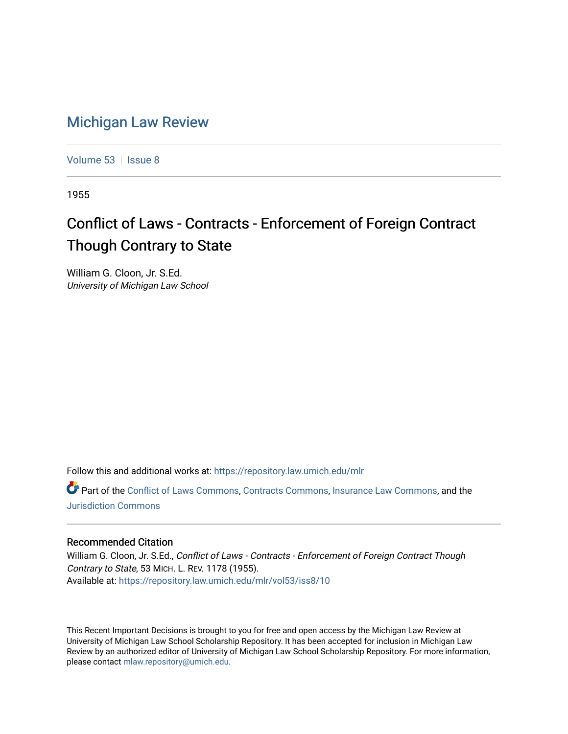## [Michigan Law Review](https://repository.law.umich.edu/mlr)

[Volume 53](https://repository.law.umich.edu/mlr/vol53) | [Issue 8](https://repository.law.umich.edu/mlr/vol53/iss8)

1955

## Conflict of Laws - Contracts - Enforcement of Foreign Contract Though Contrary to State

William G. Cloon, Jr. S.Ed. University of Michigan Law School

Follow this and additional works at: [https://repository.law.umich.edu/mlr](https://repository.law.umich.edu/mlr?utm_source=repository.law.umich.edu%2Fmlr%2Fvol53%2Fiss8%2F10&utm_medium=PDF&utm_campaign=PDFCoverPages) 

Part of the [Conflict of Laws Commons,](http://network.bepress.com/hgg/discipline/588?utm_source=repository.law.umich.edu%2Fmlr%2Fvol53%2Fiss8%2F10&utm_medium=PDF&utm_campaign=PDFCoverPages) [Contracts Commons](http://network.bepress.com/hgg/discipline/591?utm_source=repository.law.umich.edu%2Fmlr%2Fvol53%2Fiss8%2F10&utm_medium=PDF&utm_campaign=PDFCoverPages), [Insurance Law Commons,](http://network.bepress.com/hgg/discipline/607?utm_source=repository.law.umich.edu%2Fmlr%2Fvol53%2Fiss8%2F10&utm_medium=PDF&utm_campaign=PDFCoverPages) and the [Jurisdiction Commons](http://network.bepress.com/hgg/discipline/850?utm_source=repository.law.umich.edu%2Fmlr%2Fvol53%2Fiss8%2F10&utm_medium=PDF&utm_campaign=PDFCoverPages) 

## Recommended Citation

William G. Cloon, Jr. S.Ed., Conflict of Laws - Contracts - Enforcement of Foreign Contract Though Contrary to State, 53 MICH. L. REV. 1178 (1955). Available at: [https://repository.law.umich.edu/mlr/vol53/iss8/10](https://repository.law.umich.edu/mlr/vol53/iss8/10?utm_source=repository.law.umich.edu%2Fmlr%2Fvol53%2Fiss8%2F10&utm_medium=PDF&utm_campaign=PDFCoverPages) 

This Recent Important Decisions is brought to you for free and open access by the Michigan Law Review at University of Michigan Law School Scholarship Repository. It has been accepted for inclusion in Michigan Law Review by an authorized editor of University of Michigan Law School Scholarship Repository. For more information, please contact [mlaw.repository@umich.edu.](mailto:mlaw.repository@umich.edu)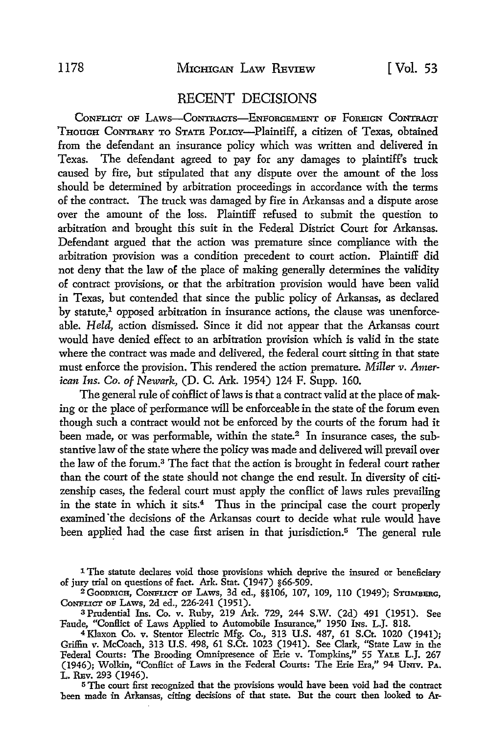## RECENT DECISIONS

CONFLICT OF LAWS-CONTRACTS-ENFORCEMENT OF FOREIGN CONTRACT THOUGH CONTRARY TO STATE POLICY-Plaintiff, a citizen of Texas, obtained from the defendant an insurance policy which was written and delivered in Texas. The defendant agreed to pay for any damages to plaintiff's truck caused by fire, but stipulated that any dispute over the amount of the loss should he determined by arbitration proceedings in accordance with the terms of the contract. The truck was damaged by fire in Arkansas and a dispute arose over the amount of the loss. Plaintiff refused to submit the question to arbitration and brought this suit in the Federal District Court for Arkansas. Defendant argued that the action was premature since compliance with the arbitration provision was a condition precedent to court action. Plaintiff did not deny that the law of the place of making generally determines the validity of contract provisions, or that the arbitration provision would have been valid in Texas, but contended that since the public policy of Arkansas, as declared by statute,<sup>1</sup> opposed arbitration in insurance actions, the clause was unenforceable. *Held,* action dismissed. Since it did not appear that the Arkansas court would have denied effect to an arbitration provision which is valid in the state where the contract was made and delivered, the federal court sitting in that state must enforce the provision. This rendered the action premature. *Miller v. American Ins. Co. of Newarh,* (D. C. Ark. 1954) 124 F. Supp. 160.

The general rule of conflict of laws is that a contract valid at the place of making or the place of performance will be enforceable in the state of the forum even though such a contract would not be enforced by the courts of the forum had it been made, or was performable, within the state.<sup>2</sup> In insurance cases, the substantive law of the state where the policy was made and delivered will prevail over the law of the forum.3 The fact that the action is brought in federal court rather than the court of the state should not change the end result. In diversity of citizenship cases, the federal court must apply the conflict of laws rules prevailing in the state in which it sits.<sup>4</sup> Thus in the principal case the court properly examined "the decisions of the Arkansas court to decide what rule would have been applied had the case first arisen in that jurisdiction.<sup>5</sup> The general rule

<sup>1</sup> The statute declares void those provisions which deprive the insured or beneficiary of jury trial on questions of fact. Ark. Stat. (1947) §66-509.<br><sup>2</sup> Gooprich, Conflict of Laws, 3d ed., §§106, 107, 109, 110 (1949); Stumberg,

Conflict of Laws, 2d ed., 226-241 (1951).

<sup>3</sup>Prudential Ins. Co. *v.* Ruby, 219 Ark. 729, 244 S.W. (2d) 491 (1951). See Faude, "Conllict of Laws Applied to Automobile Insurance,'' 1950 INs. L.J. 818.

<sup>4</sup>Klaxon Co. *v.* Stentor Electric Mfg. Co., 313 U.S. 487, 61 S.Ct. 1020 (1941); Griffin v. McCoach, 313 U.S. 498, 61 S.Ct. 1023 (1941). See Clark, "State Law in the Federal Courts: The Brooding Omnipresence of Erie v. Tompkins,'' 55 YALE L.J. 267 (1946); Wolkin, "ConHict of Laws in the Federal Courts: The Erie Era," 94 UNIV. Pa. L. REv. 293 (1946).

<sup>5</sup>The court first recognized that the provisions would have been void had the contract been made in Arkansas, citing decisions of that state. But the court then looked to Ar-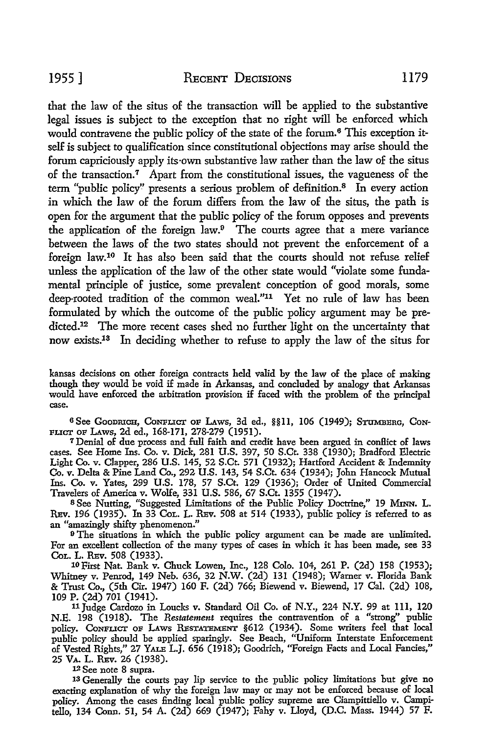that the law of the situs of the transaction will be applied to the substantive legal issues is subject to the exception that no right will be enforced which would contravene the public policy of the state of the forum.<sup>6</sup> This exception itself is subject to qualification since constitutional objections may arise should the forum capriciously apply its·own substantive law rather than the law of the situs of the transaction.7 Apart from the constitutional issues, the vagueness of the term "public policy" presents a serious problem of definition.<sup>8</sup> In every action in which the law of the forum differs from the law of the situs, the path is open for the argument that the public policy of the forum opposes and prevents the application of the foreign law.9 The courts agree that a mere variance between the laws of the two states should not prevent the enforcement of a foreign law.10 It has also been said that the courts should not refuse relief unless the application of the law of the other state would "violate some fundamental principle of justice, some prevalent conception of good morals, some deep-rooted tradition of the common weal."11 Yet no rule of law has been formulated by which the outcome of the public policy argument may be predicted.<sup>12</sup> The more recent cases shed no further light on the uncertainty that now exists.13 In deciding whether to refuse to apply the law of the situs for

kansas decisions on other foreign contracts held valid by the law of the place of making though they would be void if made in Arkansas, and concluded by analogy that Arkansas would have enforced the arbitration provision if faced with the problem of the principal case.

<sup>6</sup> See Goodrich, Conflict of Laws, 3d ed., §§11, 106 (1949); Stumberg, Con-FLICT OF LAws, 2d ed., 168-171, 278-279 (1951).

<sup>7</sup>Denial of due process and full faith and credit have been argued in conflict of laws cases. See Home Ins. Co. v. Dick, 281 U.S. 397, 50 S.Ct. 338 (1930); Bradford Electric Light Co. v. Clapper, 286 U.S. 145, 52 S.Ct. 571 (1932); Hartford Accident & Indemnity Co. v. Delta & Pine Land Co., 292 U.S. 143, 54 S.Ct. 634 (1934); John Hancock Mutual Ins. Co. v. Yates, 299 U.S. 178, 57 S.Ct. 129 (1936); Order of United Commercial Travelers of America v. Wolfe, 331 U.S. 586, 67 S.Ct. 1355 (1947).

s See Nutting, "Suggested Limitations of the Public Policy Doctrine," 19 MINN. L. REv. 196 (1935). In 33 Col. L. REv. 508 at 514 (1933), public policy is referred to as an "amazingly shifty phenomenon."

<sup>9</sup> The situations in which the public policy argument can be made are unlimited. For an excellent collection of the many types of cases in which it has been made, see 33 CoL. L. REv. 508 (1933). 10 First Nat. Bank v. Chuck Lowen, Inc., 128 Colo. 104, 261 P. (2d) 158 (1953);

Whitney v. Pemod, 149 Neb. 636, 32 N.W. (2d) 131 (1948); Warner v. Florida Bank & Trust Co., (5th Cir. 1947) 160 F. (2d) 766; Biewend v. Biewend, 17 Cal. (2d) 108, 109 P. (2d) 701 (1941).

11 Judge Cardozo in Loucks v. Standard Oil Co. of N.Y., 224 N.Y. 99 at 111, 120 N.E. 198 (1918). The *Restatement* requires the contravention of a "strong" public policy. Conflict of Laws Restatement §612 (1934). Some writers feel that local public policy should be applied sparingly. See Beach, "Uniform Interstate Enforcement of Vested Rights," 27 YALE L.J. 656 (1918); Goodrich, "Foreign Facts and Local Fancies," 25 VA. L. Rev. 26 (1938).<br><sup>12</sup> See note 8 supra.

13 Generally the courts pay lip service to the public policy limitations but give no exacting explanation of why the foreign law may or may not be enforced because of local policy. Among the cases finding local public policy supreme are Ciampittiello v. Campitello, 134 Conn. 51, 54 A. (2d) 669 (1947); Fahy v. Lloyd, (D.C. Mass. 1944) 57 F.